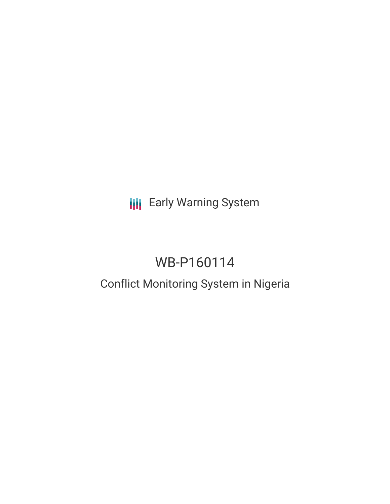**III** Early Warning System

# WB-P160114

## Conflict Monitoring System in Nigeria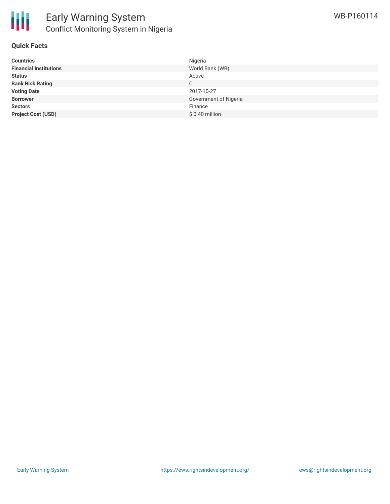

#### **Quick Facts**

| <b>Countries</b>              | Nigeria               |
|-------------------------------|-----------------------|
| <b>Financial Institutions</b> | World Bank (WB)       |
| <b>Status</b>                 | Active                |
| <b>Bank Risk Rating</b>       | C                     |
| <b>Voting Date</b>            | 2017-10-27            |
| <b>Borrower</b>               | Government of Nigeria |
| <b>Sectors</b>                | Finance               |
| <b>Project Cost (USD)</b>     | $$0.40$ million       |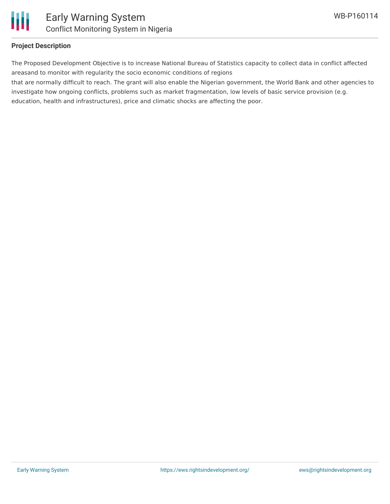

#### **Project Description**

The Proposed Development Objective is to increase National Bureau of Statistics capacity to collect data in conflict affected areasand to monitor with regularity the socio economic conditions of regions

that are normally difficult to reach. The grant will also enable the Nigerian government, the World Bank and other agencies to investigate how ongoing conflicts, problems such as market fragmentation, low levels of basic service provision (e.g. education, health and infrastructures), price and climatic shocks are affecting the poor.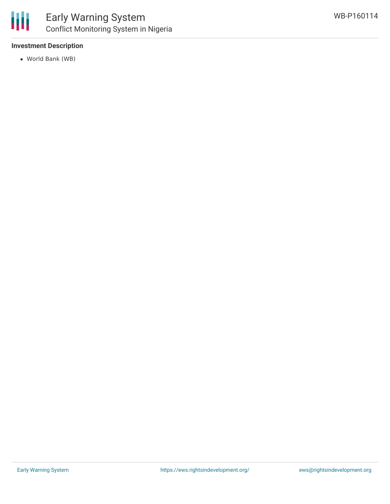

#### **Investment Description**

World Bank (WB)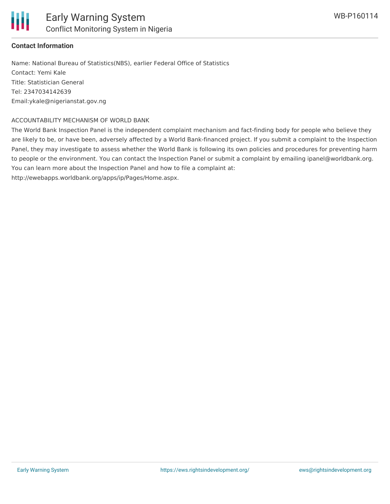

#### **Contact Information**

Name: National Bureau of Statistics(NBS), earlier Federal Office of Statistics Contact: Yemi Kale Title: Statistician General Tel: 2347034142639 Email:ykale@nigerianstat.gov.ng

#### ACCOUNTABILITY MECHANISM OF WORLD BANK

The World Bank Inspection Panel is the independent complaint mechanism and fact-finding body for people who believe they are likely to be, or have been, adversely affected by a World Bank-financed project. If you submit a complaint to the Inspection Panel, they may investigate to assess whether the World Bank is following its own policies and procedures for preventing harm to people or the environment. You can contact the Inspection Panel or submit a complaint by emailing ipanel@worldbank.org. You can learn more about the Inspection Panel and how to file a complaint at:

http://ewebapps.worldbank.org/apps/ip/Pages/Home.aspx.